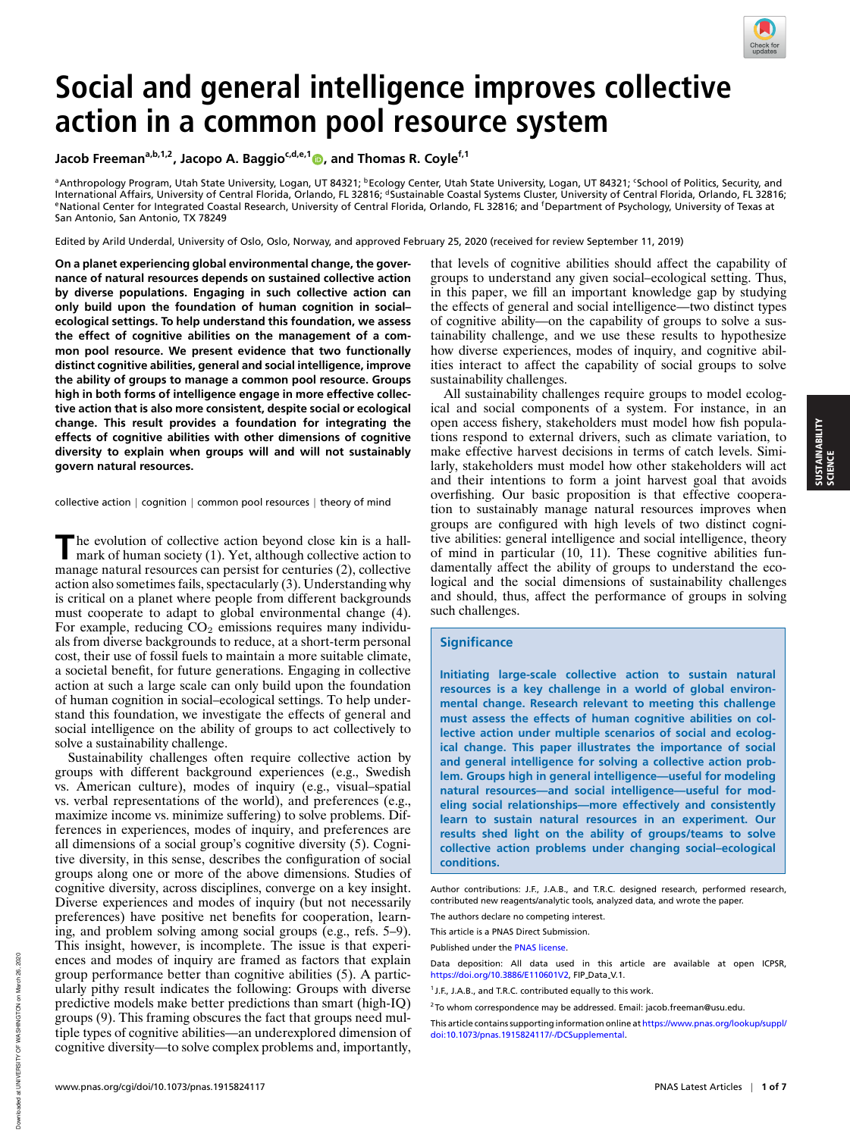

## **Social and general intelligence improves collective action in a common pool resource system**

**Jacob Freemana,b,1,2, Jacopo A. Baggioc,d,e,1 , and Thomas R. Coylef,1**

ªAnthropology Program, Utah State University, Logan, UT 84321; ʰEcology Center, Utah State University, Logan, UT 84321; ʿSchool of Politics, Security, and<br>International Affairs, University of Central Florida, Orlando, FL 3 eNational Center for Integrated Coastal Research, University of Central Florida, Orlando, FL 32816; and <sup>f</sup>Department of Psychology, University of Texas at San Antonio, San Antonio, TX 78249

Edited by Arild Underdal, University of Oslo, Oslo, Norway, and approved February 25, 2020 (received for review September 11, 2019)

**On a planet experiencing global environmental change, the governance of natural resources depends on sustained collective action by diverse populations. Engaging in such collective action can only build upon the foundation of human cognition in social– ecological settings. To help understand this foundation, we assess the effect of cognitive abilities on the management of a common pool resource. We present evidence that two functionally distinct cognitive abilities, general and social intelligence, improve the ability of groups to manage a common pool resource. Groups high in both forms of intelligence engage in more effective collective action that is also more consistent, despite social or ecological change. This result provides a foundation for integrating the effects of cognitive abilities with other dimensions of cognitive diversity to explain when groups will and will not sustainably govern natural resources.**

collective action | cognition | common pool resources | theory of mind

The evolution of collective action beyond close kin is a hall-<br>mark of human society (1). Yet, although collective action to mark of human society (1). Yet, although collective action to manage natural resources can persist for centuries (2), collective action also sometimes fails, spectacularly (3). Understanding why is critical on a planet where people from different backgrounds must cooperate to adapt to global environmental change (4). For example, reducing  $CO<sub>2</sub>$  emissions requires many individuals from diverse backgrounds to reduce, at a short-term personal cost, their use of fossil fuels to maintain a more suitable climate, a societal benefit, for future generations. Engaging in collective action at such a large scale can only build upon the foundation of human cognition in social–ecological settings. To help understand this foundation, we investigate the effects of general and social intelligence on the ability of groups to act collectively to solve a sustainability challenge.

Sustainability challenges often require collective action by groups with different background experiences (e.g., Swedish vs. American culture), modes of inquiry (e.g., visual–spatial vs. verbal representations of the world), and preferences (e.g., maximize income vs. minimize suffering) to solve problems. Differences in experiences, modes of inquiry, and preferences are all dimensions of a social group's cognitive diversity (5). Cognitive diversity, in this sense, describes the configuration of social groups along one or more of the above dimensions. Studies of cognitive diversity, across disciplines, converge on a key insight. Diverse experiences and modes of inquiry (but not necessarily preferences) have positive net benefits for cooperation, learning, and problem solving among social groups (e.g., refs. 5–9). This insight, however, is incomplete. The issue is that experiences and modes of inquiry are framed as factors that explain group performance better than cognitive abilities (5). A particularly pithy result indicates the following: Groups with diverse predictive models make better predictions than smart (high-IQ) groups (9). This framing obscures the fact that groups need multiple types of cognitive abilities—an underexplored dimension of cognitive diversity—to solve complex problems and, importantly,

that levels of cognitive abilities should affect the capability of groups to understand any given social–ecological setting. Thus, in this paper, we fill an important knowledge gap by studying the effects of general and social intelligence—two distinct types of cognitive ability—on the capability of groups to solve a sustainability challenge, and we use these results to hypothesize how diverse experiences, modes of inquiry, and cognitive abilities interact to affect the capability of social groups to solve sustainability challenges.

All sustainability challenges require groups to model ecological and social components of a system. For instance, in an open access fishery, stakeholders must model how fish populations respond to external drivers, such as climate variation, to make effective harvest decisions in terms of catch levels. Similarly, stakeholders must model how other stakeholders will act and their intentions to form a joint harvest goal that avoids overfishing. Our basic proposition is that effective cooperation to sustainably manage natural resources improves when groups are configured with high levels of two distinct cognitive abilities: general intelligence and social intelligence, theory of mind in particular (10, 11). These cognitive abilities fundamentally affect the ability of groups to understand the ecological and the social dimensions of sustainability challenges and should, thus, affect the performance of groups in solving such challenges.

## **Significance**

**Initiating large-scale collective action to sustain natural resources is a key challenge in a world of global environmental change. Research relevant to meeting this challenge must assess the effects of human cognitive abilities on collective action under multiple scenarios of social and ecological change. This paper illustrates the importance of social and general intelligence for solving a collective action problem. Groups high in general intelligence—useful for modeling natural resources—and social intelligence—useful for modeling social relationships—more effectively and consistently learn to sustain natural resources in an experiment. Our results shed light on the ability of groups/teams to solve collective action problems under changing social–ecological conditions.**

Author contributions: J.F., J.A.B., and T.R.C. designed research, performed research, contributed new reagents/analytic tools, analyzed data, and wrote the paper.

The authors declare no competing interest. This article is a PNAS Direct Submission.

Published under the PNAS license

Data deposition: All data used in this article are available at open ICPSR, https://doi.org/10.3886/E110601V2, FIP\_Data\_V.1.

This article contains supporting information online at https://www.pnas.org/lookup/suppl/ doi:10.1073/pnas.1915824117/-/DCSupplemental.y

<sup>&</sup>lt;sup>1</sup> J.F., J.A.B., and T.R.C. contributed equally to this work.

 $2$ To whom correspondence may be addressed. Email: jacob.freeman@usu.edu.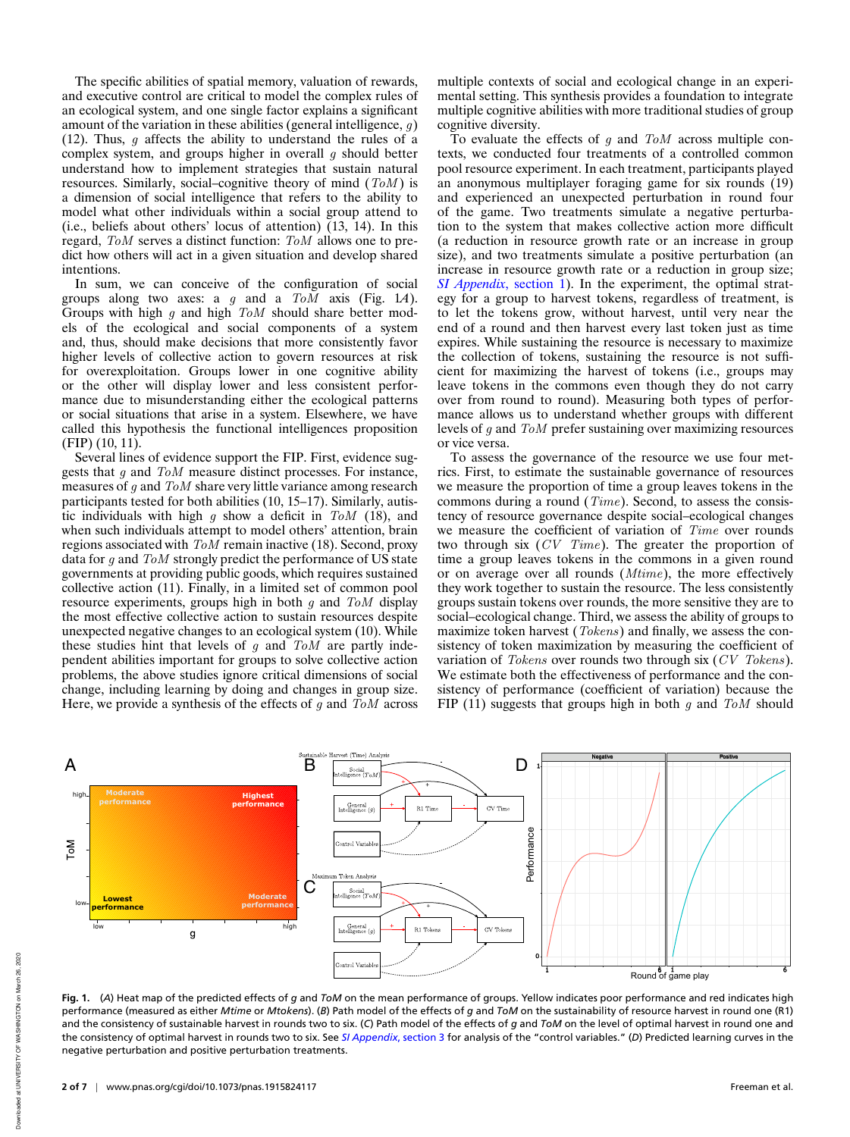The specific abilities of spatial memory, valuation of rewards, and executive control are critical to model the complex rules of an ecological system, and one single factor explains a significant amount of the variation in these abilities (general intelligence,  $q$ ) (12). Thus,  $q$  affects the ability to understand the rules of a complex system, and groups higher in overall  $g$  should better understand how to implement strategies that sustain natural resources. Similarly, social–cognitive theory of mind  $(ToM)$  is a dimension of social intelligence that refers to the ability to model what other individuals within a social group attend to (i.e., beliefs about others' locus of attention) (13, 14). In this regard, ToM serves a distinct function: ToM allows one to predict how others will act in a given situation and develop shared intentions.

In sum, we can conceive of the configuration of social groups along two axes: a g and a ToM axis (Fig. 1*A*). Groups with high  $g$  and high  $T \circ M$  should share better models of the ecological and social components of a system and, thus, should make decisions that more consistently favor higher levels of collective action to govern resources at risk for overexploitation. Groups lower in one cognitive ability or the other will display lower and less consistent performance due to misunderstanding either the ecological patterns or social situations that arise in a system. Elsewhere, we have called this hypothesis the functional intelligences proposition (FIP) (10, 11).

Several lines of evidence support the FIP. First, evidence suggests that g and ToM measure distinct processes. For instance, measures of g and ToM share very little variance among research participants tested for both abilities (10, 15–17). Similarly, autistic individuals with high  $g$  show a deficit in  $T \circ M$  (18), and when such individuals attempt to model others' attention, brain regions associated with ToM remain inactive (18). Second, proxy data for g and ToM strongly predict the performance of US state governments at providing public goods, which requires sustained collective action (11). Finally, in a limited set of common pool resource experiments, groups high in both  $q$  and  $T \circ M$  display the most effective collective action to sustain resources despite unexpected negative changes to an ecological system (10). While these studies hint that levels of  $g$  and  $T \circ M$  are partly independent abilities important for groups to solve collective action problems, the above studies ignore critical dimensions of social change, including learning by doing and changes in group size. Here, we provide a synthesis of the effects of g and  $T<sub>o</sub>M$  across multiple contexts of social and ecological change in an experimental setting. This synthesis provides a foundation to integrate multiple cognitive abilities with more traditional studies of group cognitive diversity.

To evaluate the effects of q and  $T<sub>o</sub>M$  across multiple contexts, we conducted four treatments of a controlled common pool resource experiment. In each treatment, participants played an anonymous multiplayer foraging game for six rounds (19) and experienced an unexpected perturbation in round four of the game. Two treatments simulate a negative perturbation to the system that makes collective action more difficult (a reduction in resource growth rate or an increase in group size), and two treatments simulate a positive perturbation (an increase in resource growth rate or a reduction in group size; *SI Appendix*, section 1). In the experiment, the optimal strategy for a group to harvest tokens, regardless of treatment, is to let the tokens grow, without harvest, until very near the end of a round and then harvest every last token just as time expires. While sustaining the resource is necessary to maximize the collection of tokens, sustaining the resource is not sufficient for maximizing the harvest of tokens (i.e., groups may leave tokens in the commons even though they do not carry over from round to round). Measuring both types of performance allows us to understand whether groups with different levels of g and ToM prefer sustaining over maximizing resources or vice versa.

To assess the governance of the resource we use four metrics. First, to estimate the sustainable governance of resources we measure the proportion of time a group leaves tokens in the commons during a round (Time). Second, to assess the consistency of resource governance despite social–ecological changes we measure the coefficient of variation of Time over rounds two through six (CV Time). The greater the proportion of time a group leaves tokens in the commons in a given round or on average over all rounds (Mtime), the more effectively they work together to sustain the resource. The less consistently groups sustain tokens over rounds, the more sensitive they are to social–ecological change. Third, we assess the ability of groups to maximize token harvest (*Tokens*) and finally, we assess the consistency of token maximization by measuring the coefficient of variation of *Tokens* over rounds two through six (CV Tokens). We estimate both the effectiveness of performance and the consistency of performance (coefficient of variation) because the FIP (11) suggests that groups high in both g and  $T \circ M$  should



**Fig. 1.** (*A*) Heat map of the predicted effects of *g* and *ToM* on the mean performance of groups. Yellow indicates poor performance and red indicates high performance (measured as either *Mtime* or *Mtokens*). (*B*) Path model of the effects of *g* and *ToM* on the sustainability of resource harvest in round one (R1) and the consistency of sustainable harvest in rounds two to six. (*C*) Path model of the effects of *g* and *ToM* on the level of optimal harvest in round one and the consistency of optimal harvest in rounds two to six. See *SI Appendix*, section 3 for analysis of the "control variables." (*D*) Predicted learning curves in the negative perturbation and positive perturbation treatments.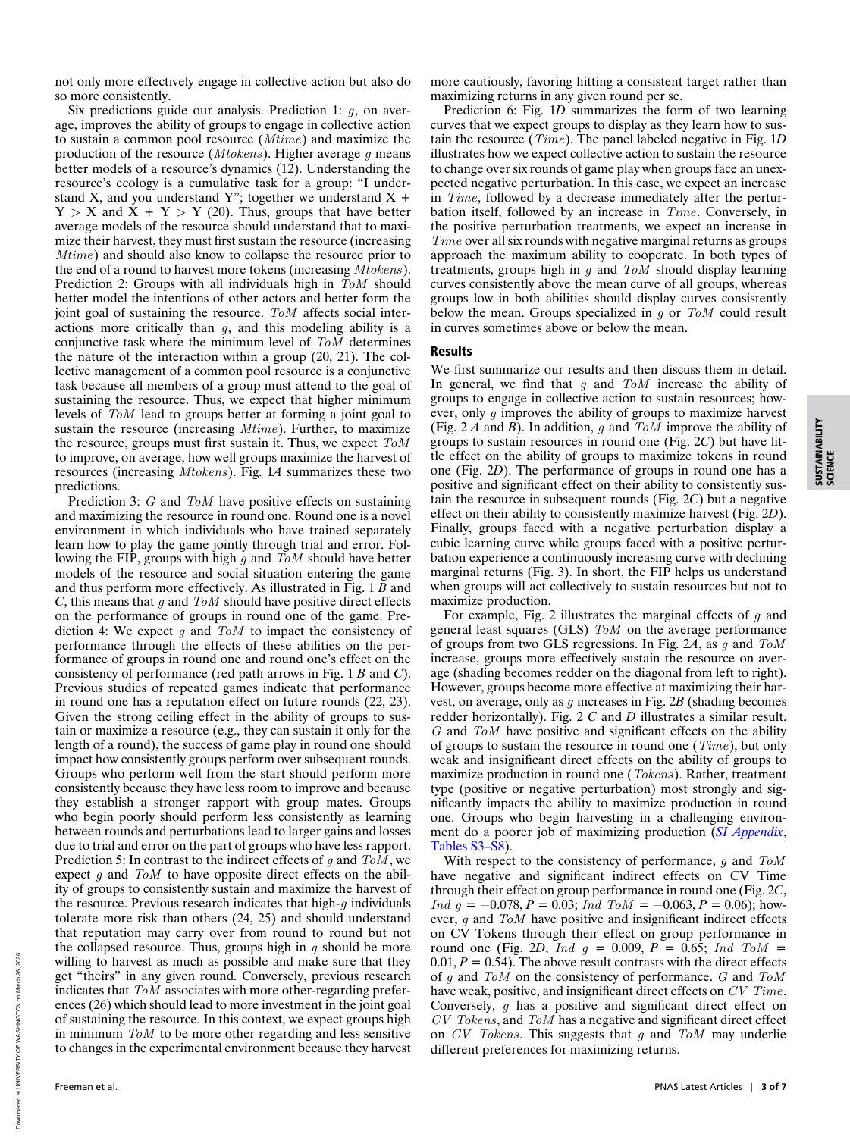not only more effectively engage in collective action but also do so more consistently.

Six predictions guide our analysis. Prediction 1:  $g$ , on average, improves the ability of groups to engage in collective action to sustain a common pool resource (Mtime) and maximize the production of the resource (*Mtokens*). Higher average  $q$  means better models of a resource's dynamics (12). Understanding the resource's ecology is a cumulative task for a group: "I understand X, and you understand Y"; together we understand  $X +$  $Y > X$  and  $\overline{X} + Y > Y$  (20). Thus, groups that have better average models of the resource should understand that to maximize their harvest, they must first sustain the resource (increasing Mtime) and should also know to collapse the resource prior to the end of a round to harvest more tokens (increasing Mtokens). Prediction 2: Groups with all individuals high in  $T_0M$  should better model the intentions of other actors and better form the joint goal of sustaining the resource. ToM affects social interactions more critically than  $g$ , and this modeling ability is a conjunctive task where the minimum level of  $T \circ M$  determines the nature of the interaction within a group (20, 21). The collective management of a common pool resource is a conjunctive task because all members of a group must attend to the goal of sustaining the resource. Thus, we expect that higher minimum levels of ToM lead to groups better at forming a joint goal to sustain the resource (increasing  $Mtime$ ). Further, to maximize the resource, groups must first sustain it. Thus, we expect ToM to improve, on average, how well groups maximize the harvest of resources (increasing Mtokens). Fig. 1*A* summarizes these two predictions.

Prediction 3: G and ToM have positive effects on sustaining and maximizing the resource in round one. Round one is a novel environment in which individuals who have trained separately learn how to play the game jointly through trial and error. Following the FIP, groups with high  $g$  and  $T \circ M$  should have better models of the resource and social situation entering the game and thus perform more effectively. As illustrated in Fig. 1 *B* and *C*, this means that g and ToM should have positive direct effects on the performance of groups in round one of the game. Prediction 4: We expect  $g$  and  $T \circ M$  to impact the consistency of performance through the effects of these abilities on the performance of groups in round one and round one's effect on the consistency of performance (red path arrows in Fig. 1 *B* and *C*). Previous studies of repeated games indicate that performance in round one has a reputation effect on future rounds (22, 23). Given the strong ceiling effect in the ability of groups to sustain or maximize a resource (e.g., they can sustain it only for the length of a round), the success of game play in round one should impact how consistently groups perform over subsequent rounds. Groups who perform well from the start should perform more consistently because they have less room to improve and because they establish a stronger rapport with group mates. Groups who begin poorly should perform less consistently as learning between rounds and perturbations lead to larger gains and losses due to trial and error on the part of groups who have less rapport. Prediction 5: In contrast to the indirect effects of q and  $T \circ M$ , we expect  $g$  and  $T \circ M$  to have opposite direct effects on the ability of groups to consistently sustain and maximize the harvest of the resource. Previous research indicates that high- $g$  individuals tolerate more risk than others (24, 25) and should understand that reputation may carry over from round to round but not the collapsed resource. Thus, groups high in  $g$  should be more willing to harvest as much as possible and make sure that they get "theirs" in any given round. Conversely, previous research indicates that ToM associates with more other-regarding preferences (26) which should lead to more investment in the joint goal of sustaining the resource. In this context, we expect groups high in minimum ToM to be more other regarding and less sensitive to changes in the experimental environment because they harvest

more cautiously, favoring hitting a consistent target rather than maximizing returns in any given round per se.

Prediction 6: Fig. 1*D* summarizes the form of two learning curves that we expect groups to display as they learn how to sustain the resource (Time). The panel labeled negative in Fig. 1*D* illustrates how we expect collective action to sustain the resource to change over six rounds of game play when groups face an unexpected negative perturbation. In this case, we expect an increase in Time, followed by a decrease immediately after the perturbation itself, followed by an increase in Time. Conversely, in the positive perturbation treatments, we expect an increase in Time over all six rounds with negative marginal returns as groups approach the maximum ability to cooperate. In both types of treatments, groups high in  $g$  and  $T \circ M$  should display learning curves consistently above the mean curve of all groups, whereas groups low in both abilities should display curves consistently below the mean. Groups specialized in  $g$  or  $T \circ M$  could result in curves sometimes above or below the mean.

## Results

We first summarize our results and then discuss them in detail. In general, we find that  $g$  and  $T \circ M$  increase the ability of groups to engage in collective action to sustain resources; however, only q improves the ability of groups to maximize harvest (Fig. 2 *A* and *B*). In addition, g and ToM improve the ability of groups to sustain resources in round one (Fig. 2*C*) but have little effect on the ability of groups to maximize tokens in round one (Fig. 2*D*). The performance of groups in round one has a positive and significant effect on their ability to consistently sustain the resource in subsequent rounds (Fig. 2*C*) but a negative effect on their ability to consistently maximize harvest (Fig. 2*D*). Finally, groups faced with a negative perturbation display a cubic learning curve while groups faced with a positive perturbation experience a continuously increasing curve with declining marginal returns (Fig. 3). In short, the FIP helps us understand when groups will act collectively to sustain resources but not to maximize production.

For example, Fig. 2 illustrates the marginal effects of  $g$  and general least squares (GLS) ToM on the average performance of groups from two GLS regressions. In Fig. 2*A*, as g and ToM increase, groups more effectively sustain the resource on average (shading becomes redder on the diagonal from left to right). However, groups become more effective at maximizing their harvest, on average, only as g increases in Fig. 2*B* (shading becomes redder horizontally). Fig. 2 *C* and *D* illustrates a similar result. G and ToM have positive and significant effects on the ability of groups to sustain the resource in round one  $(Time)$ , but only weak and insignificant direct effects on the ability of groups to maximize production in round one (Tokens). Rather, treatment type (positive or negative perturbation) most strongly and significantly impacts the ability to maximize production in round one. Groups who begin harvesting in a challenging environment do a poorer job of maximizing production (*SI Appendix*, Tables S3–S8).

With respect to the consistency of performance,  $q$  and  $T \circ M$ have negative and significant indirect effects on CV Time through their effect on group performance in round one (Fig. 2*C*, *Ind g* = −0.078, *P* = 0.03; *Ind ToM* = −0.063, *P* = 0.06); however, g and ToM have positive and insignificant indirect effects on CV Tokens through their effect on group performance in round one (Fig. 2*D*, *Ind*  $q = 0.009$ *, P = 0.65; Ind ToM =*  $0.01, P = 0.54$ . The above result contrasts with the direct effects of  $g$  and  $T \circ M$  on the consistency of performance.  $G$  and  $T \circ M$ have weak, positive, and insignificant direct effects on CV Time. Conversely, g has a positive and significant direct effect on CV Tokens, and ToM has a negative and significant direct effect on  $CV$  Tokens. This suggests that  $g$  and ToM may underlie different preferences for maximizing returns.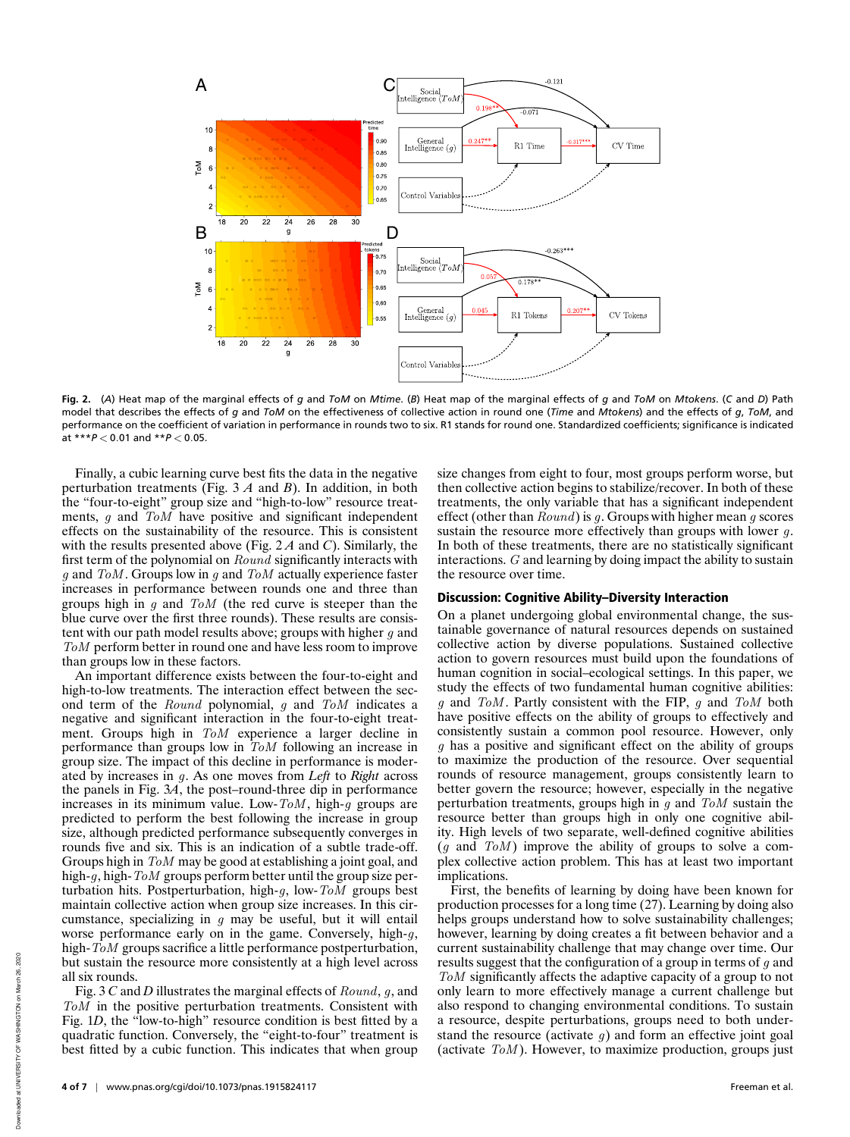

**Fig. 2.** (*A*) Heat map of the marginal effects of *g* and *ToM* on *Mtime*. (*B*) Heat map of the marginal effects of *g* and *ToM* on *Mtokens*. (*C* and *D*) Path model that describes the effects of *g* and *ToM* on the effectiveness of collective action in round one (*Time* and *Mtokens*) and the effects of *g*, *ToM*, and performance on the coefficient of variation in performance in rounds two to six. R1 stands for round one. Standardized coefficients; significance is indicated at \*\*\**P* < 0.01 and \*\**P* < 0.05.

Finally, a cubic learning curve best fits the data in the negative perturbation treatments (Fig. 3 *A* and *B*). In addition, in both the "four-to-eight" group size and "high-to-low" resource treatments, g and ToM have positive and significant independent effects on the sustainability of the resource. This is consistent with the results presented above (Fig. 2 *A* and *C*). Similarly, the first term of the polynomial on Round significantly interacts with  $g$  and ToM. Groups low in  $g$  and ToM actually experience faster increases in performance between rounds one and three than groups high in  $g$  and  $T \circ M$  (the red curve is steeper than the blue curve over the first three rounds). These results are consistent with our path model results above; groups with higher  $q$  and ToM perform better in round one and have less room to improve than groups low in these factors.

An important difference exists between the four-to-eight and high-to-low treatments. The interaction effect between the second term of the Round polynomial, g and ToM indicates a negative and significant interaction in the four-to-eight treatment. Groups high in ToM experience a larger decline in performance than groups low in ToM following an increase in group size. The impact of this decline in performance is moderated by increases in g. As one moves from *Left* to *Right* across the panels in Fig. 3*A*, the post–round-three dip in performance increases in its minimum value. Low- $ToM$ , high-g groups are predicted to perform the best following the increase in group size, although predicted performance subsequently converges in rounds five and six. This is an indication of a subtle trade-off. Groups high in ToM may be good at establishing a joint goal, and high-q, high-ToM groups perform better until the group size perturbation hits. Postperturbation, high- $q$ , low-ToM groups best maintain collective action when group size increases. In this circumstance, specializing in  $g$  may be useful, but it will entail worse performance early on in the game. Conversely, high- $q$ , high- $T<sub>o</sub>M$  groups sacrifice a little performance postperturbation, but sustain the resource more consistently at a high level across all six rounds.

Fig. 3 *C* and *D* illustrates the marginal effects of Round, g, and ToM in the positive perturbation treatments. Consistent with Fig. 1*D*, the "low-to-high" resource condition is best fitted by a quadratic function. Conversely, the "eight-to-four" treatment is best fitted by a cubic function. This indicates that when group

g has a positive and significant effect on the ability of groups to maximize the production of the resource. Over sequential rounds of resource management, groups consistently learn to better govern the resource; however, especially in the negative perturbation treatments, groups high in  $q$  and  $T \circ M$  sustain the

the resource over time.

resource better than groups high in only one cognitive ability. High levels of two separate, well-defined cognitive abilities  $(g \text{ and } ToM)$  improve the ability of groups to solve a complex collective action problem. This has at least two important implications.

size changes from eight to four, most groups perform worse, but then collective action begins to stabilize/recover. In both of these treatments, the only variable that has a significant independent effect (other than Round) is g. Groups with higher mean g scores sustain the resource more effectively than groups with lower  $g$ . In both of these treatments, there are no statistically significant interactions. G and learning by doing impact the ability to sustain

On a planet undergoing global environmental change, the sustainable governance of natural resources depends on sustained collective action by diverse populations. Sustained collective action to govern resources must build upon the foundations of human cognition in social–ecological settings. In this paper, we study the effects of two fundamental human cognitive abilities:  $g$  and ToM. Partly consistent with the FIP,  $g$  and ToM both have positive effects on the ability of groups to effectively and consistently sustain a common pool resource. However, only

Discussion: Cognitive Ability–Diversity Interaction

First, the benefits of learning by doing have been known for production processes for a long time (27). Learning by doing also helps groups understand how to solve sustainability challenges; however, learning by doing creates a fit between behavior and a current sustainability challenge that may change over time. Our results suggest that the configuration of a group in terms of  $g$  and ToM significantly affects the adaptive capacity of a group to not only learn to more effectively manage a current challenge but also respond to changing environmental conditions. To sustain a resource, despite perturbations, groups need to both understand the resource (activate  $g$ ) and form an effective joint goal (activate  $T o M$ ). However, to maximize production, groups just

Downloaded at UNIVERSITY OF WASHINGTON on March 26, 2020

Downloaded at UNIVERSITY OF WASHINGTON on March 26,

2020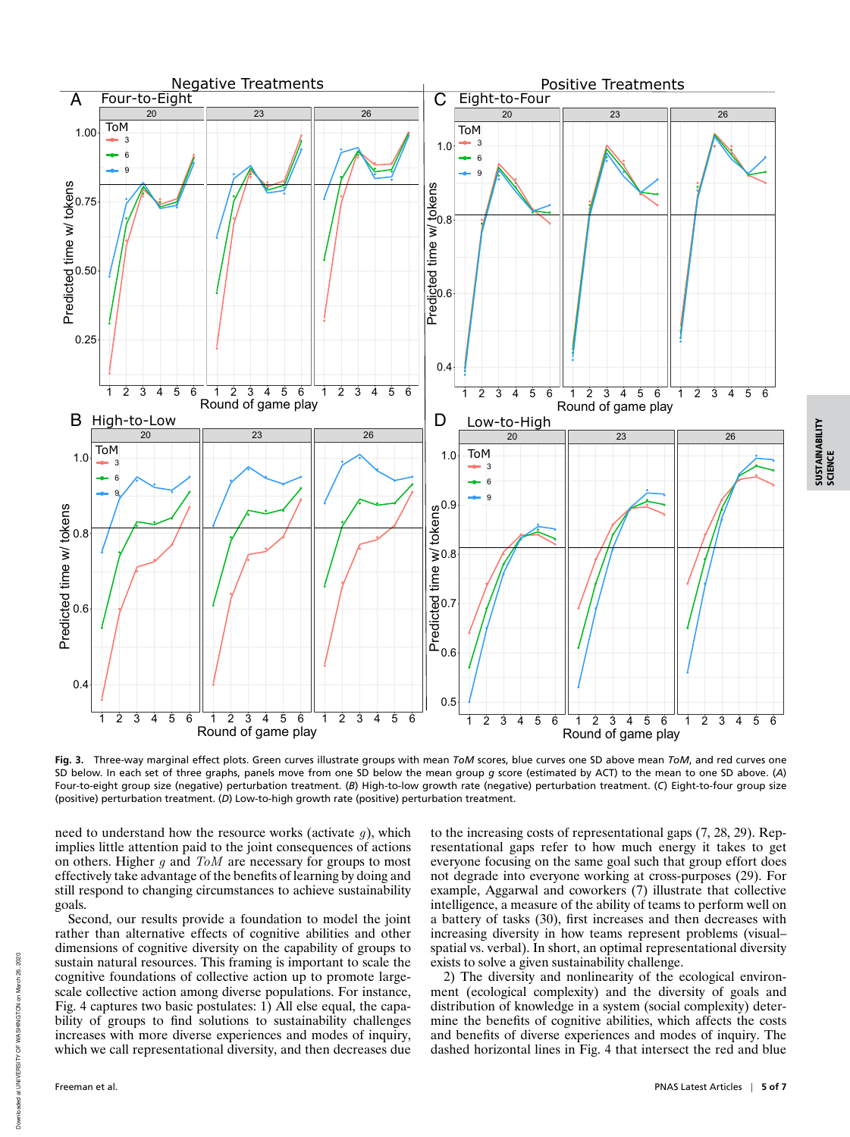

**Fig. 3.** Three-way marginal effect plots. Green curves illustrate groups with mean *ToM* scores, blue curves one SD above mean *ToM*, and red curves one SD below. In each set of three graphs, panels move from one SD below the mean group *g* score (estimated by ACT) to the mean to one SD above. (*A*) Four-to-eight group size (negative) perturbation treatment. (*B*) High-to-low growth rate (negative) perturbation treatment. (*C*) Eight-to-four group size (positive) perturbation treatment. (*D*) Low-to-high growth rate (positive) perturbation treatment.

need to understand how the resource works (activate  $q$ ), which implies little attention paid to the joint consequences of actions on others. Higher  $g$  and  $T \circ M$  are necessary for groups to most effectively take advantage of the benefits of learning by doing and still respond to changing circumstances to achieve sustainability goals.

Second, our results provide a foundation to model the joint rather than alternative effects of cognitive abilities and other dimensions of cognitive diversity on the capability of groups to sustain natural resources. This framing is important to scale the cognitive foundations of collective action up to promote largescale collective action among diverse populations. For instance, Fig. 4 captures two basic postulates: 1) All else equal, the capability of groups to find solutions to sustainability challenges increases with more diverse experiences and modes of inquiry, which we call representational diversity, and then decreases due

to the increasing costs of representational gaps (7, 28, 29). Representational gaps refer to how much energy it takes to get everyone focusing on the same goal such that group effort does not degrade into everyone working at cross-purposes (29). For example, Aggarwal and coworkers (7) illustrate that collective intelligence, a measure of the ability of teams to perform well on a battery of tasks (30), first increases and then decreases with increasing diversity in how teams represent problems (visual– spatial vs. verbal). In short, an optimal representational diversity exists to solve a given sustainability challenge.

2) The diversity and nonlinearity of the ecological environment (ecological complexity) and the diversity of goals and distribution of knowledge in a system (social complexity) determine the benefits of cognitive abilities, which affects the costs and benefits of diverse experiences and modes of inquiry. The dashed horizontal lines in Fig. 4 that intersect the red and blue

SUSTAINABILITY SUSTAINABILITY<br>SCIENCE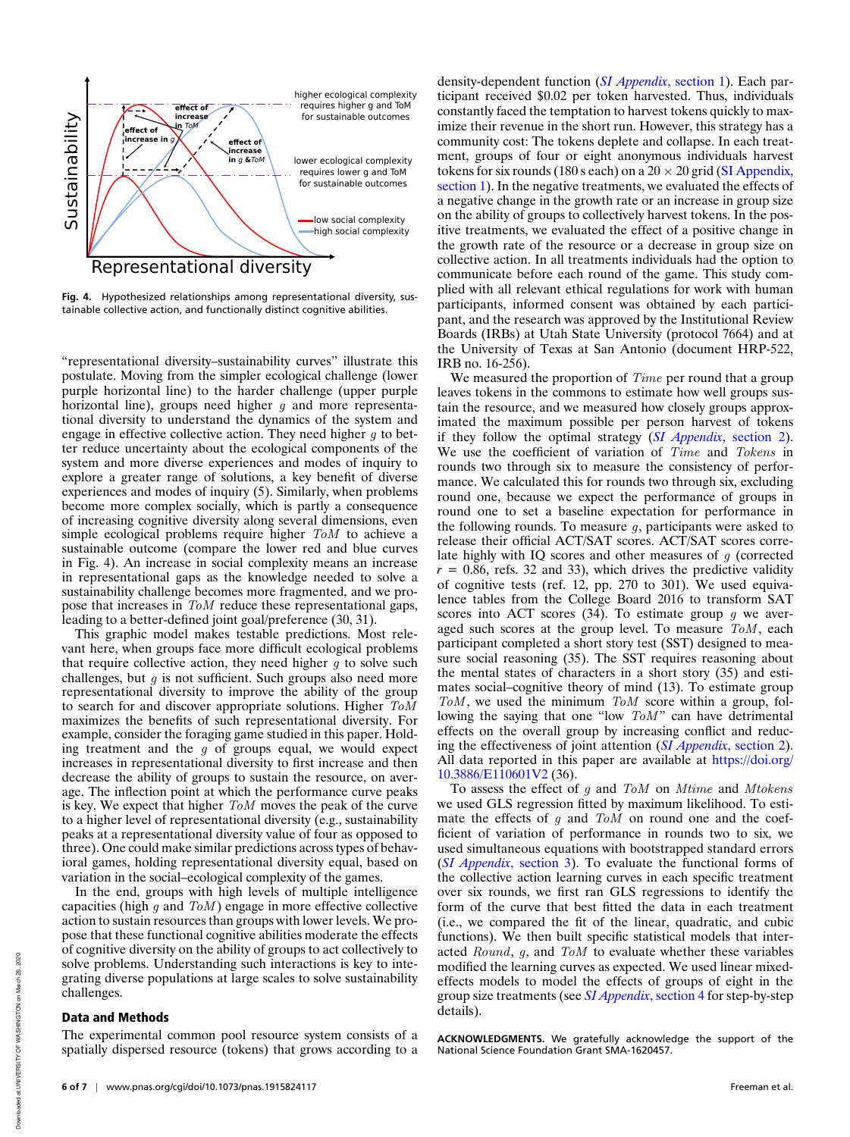

**Fig. 4.** Hypothesized relationships among representational diversity, sustainable collective action, and functionally distinct cognitive abilities.

"representational diversity–sustainability curves" illustrate this postulate. Moving from the simpler ecological challenge (lower purple horizontal line) to the harder challenge (upper purple horizontal line), groups need higher  $q$  and more representational diversity to understand the dynamics of the system and engage in effective collective action. They need higher  $q$  to better reduce uncertainty about the ecological components of the system and more diverse experiences and modes of inquiry to explore a greater range of solutions, a key benefit of diverse experiences and modes of inquiry (5). Similarly, when problems become more complex socially, which is partly a consequence of increasing cognitive diversity along several dimensions, even simple ecological problems require higher ToM to achieve a sustainable outcome (compare the lower red and blue curves in Fig. 4). An increase in social complexity means an increase in representational gaps as the knowledge needed to solve a sustainability challenge becomes more fragmented, and we propose that increases in ToM reduce these representational gaps, leading to a better-defined joint goal/preference (30, 31).

This graphic model makes testable predictions. Most relevant here, when groups face more difficult ecological problems that require collective action, they need higher  $q$  to solve such challenges, but  $q$  is not sufficient. Such groups also need more representational diversity to improve the ability of the group to search for and discover appropriate solutions. Higher  $ToM$ maximizes the benefits of such representational diversity. For example, consider the foraging game studied in this paper. Holding treatment and the  $g$  of groups equal, we would expect increases in representational diversity to first increase and then decrease the ability of groups to sustain the resource, on average. The inflection point at which the performance curve peaks is key. We expect that higher ToM moves the peak of the curve to a higher level of representational diversity (e.g., sustainability peaks at a representational diversity value of four as opposed to three). One could make similar predictions across types of behavioral games, holding representational diversity equal, based on variation in the social–ecological complexity of the games.

In the end, groups with high levels of multiple intelligence capacities (high q and  $T<sub>o</sub>M$ ) engage in more effective collective action to sustain resources than groups with lower levels. We propose that these functional cognitive abilities moderate the effects of cognitive diversity on the ability of groups to act collectively to solve problems. Understanding such interactions is key to integrating diverse populations at large scales to solve sustainability challenges.

## Data and Methods

The experimental common pool resource system consists of a spatially dispersed resource (tokens) that grows according to a density-dependent function (*SI Appendix*, section 1). Each participant received \$0.02 per token harvested. Thus, individuals constantly faced the temptation to harvest tokens quickly to maximize their revenue in the short run. However, this strategy has a community cost: The tokens deplete and collapse. In each treatment, groups of four or eight anonymous individuals harvest tokens for six rounds (180 s each) on a  $20 \times 20$  grid (SI Appendix, section 1). In the negative treatments, we evaluated the effects of a negative change in the growth rate or an increase in group size on the ability of groups to collectively harvest tokens. In the positive treatments, we evaluated the effect of a positive change in the growth rate of the resource or a decrease in group size on collective action. In all treatments individuals had the option to communicate before each round of the game. This study complied with all relevant ethical regulations for work with human participants, informed consent was obtained by each participant, and the research was approved by the Institutional Review Boards (IRBs) at Utah State University (protocol 7664) and at the University of Texas at San Antonio (document HRP-522, IRB no. 16-256).

We measured the proportion of *Time* per round that a group leaves tokens in the commons to estimate how well groups sustain the resource, and we measured how closely groups approximated the maximum possible per person harvest of tokens if they follow the optimal strategy (*SI Appendix*, section 2). We use the coefficient of variation of Time and Tokens in rounds two through six to measure the consistency of performance. We calculated this for rounds two through six, excluding round one, because we expect the performance of groups in round one to set a baseline expectation for performance in the following rounds. To measure  $q$ , participants were asked to release their official ACT/SAT scores. ACT/SAT scores correlate highly with IQ scores and other measures of  $g$  (corrected  $r = 0.86$ , refs. 32 and 33), which drives the predictive validity of cognitive tests (ref. 12, pp. 270 to 301). We used equivalence tables from the College Board 2016 to transform SAT scores into ACT scores  $(34)$ . To estimate group g we averaged such scores at the group level. To measure  $T_0M$ , each participant completed a short story test (SST) designed to measure social reasoning (35). The SST requires reasoning about the mental states of characters in a short story (35) and estimates social–cognitive theory of mind (13). To estimate group  $T<sub>o</sub>M$ , we used the minimum  $T<sub>o</sub>M$  score within a group, following the saying that one "low  $T_0M$ " can have detrimental effects on the overall group by increasing conflict and reducing the effectiveness of joint attention (*SI Appendix*, section 2). All data reported in this paper are available at https://doi.org/ 10.3886/E110601V2 (36).

To assess the effect of  $g$  and  $T \circ M$  on  $M$ time and  $M$ tokens we used GLS regression fitted by maximum likelihood. To estimate the effects of  $g$  and  $T \circ M$  on round one and the coefficient of variation of performance in rounds two to six, we used simultaneous equations with bootstrapped standard errors (*SI Appendix*, section 3). To evaluate the functional forms of the collective action learning curves in each specific treatment over six rounds, we first ran GLS regressions to identify the form of the curve that best fitted the data in each treatment (i.e., we compared the fit of the linear, quadratic, and cubic functions). We then built specific statistical models that interacted Round, g, and ToM to evaluate whether these variables modified the learning curves as expected. We used linear mixedeffects models to model the effects of groups of eight in the group size treatments (see *SI Appendix*, section 4 for step-by-step details).

**ACKNOWLEDGMENTS.** We gratefully acknowledge the support of the National Science Foundation Grant SMA-1620457.